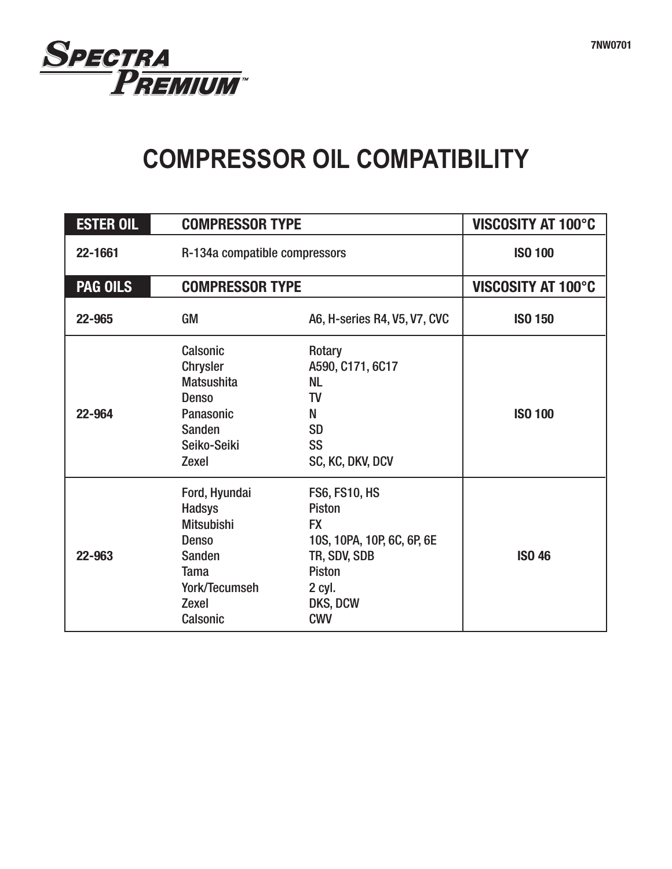

## **COMPRESSOR OIL COMPATIBILITY**

| <b>ESTER OIL</b> |                                                                                                                                                         | <b>COMPRESSOR TYPE</b>                                                                                                                                |                           |
|------------------|---------------------------------------------------------------------------------------------------------------------------------------------------------|-------------------------------------------------------------------------------------------------------------------------------------------------------|---------------------------|
| 22-1661          |                                                                                                                                                         | R-134a compatible compressors                                                                                                                         |                           |
| <b>PAG OILS</b>  | <b>COMPRESSOR TYPE</b>                                                                                                                                  |                                                                                                                                                       | <b>VISCOSITY AT 100°C</b> |
| 22-965           | GM                                                                                                                                                      | A6, H-series R4, V5, V7, CVC                                                                                                                          | <b>ISO 150</b>            |
| 22-964           | <b>Calsonic</b><br><b>Chrysler</b><br><b>Matsushita</b><br><b>Denso</b><br><b>Panasonic</b><br><b>Sanden</b><br>Seiko-Seiki<br><b>Zexel</b>             | Rotary<br>A590, C171, 6C17<br><b>NL</b><br><b>TV</b><br>N<br><b>SD</b><br><b>SS</b><br>SC, KC, DKV, DCV                                               | <b>ISO 100</b>            |
| 22-963           | Ford, Hyundai<br><b>Hadsys</b><br><b>Mitsubishi</b><br><b>Denso</b><br><b>Sanden</b><br><b>Tama</b><br>York/Tecumseh<br><b>Zexel</b><br><b>Calsonic</b> | <b>FS6, FS10, HS</b><br><b>Piston</b><br><b>FX</b><br>10S, 10PA, 10P, 6C, 6P, 6E<br>TR, SDV, SDB<br><b>Piston</b><br>2 cyl.<br>DKS, DCW<br><b>CWV</b> | <b>ISO 46</b>             |